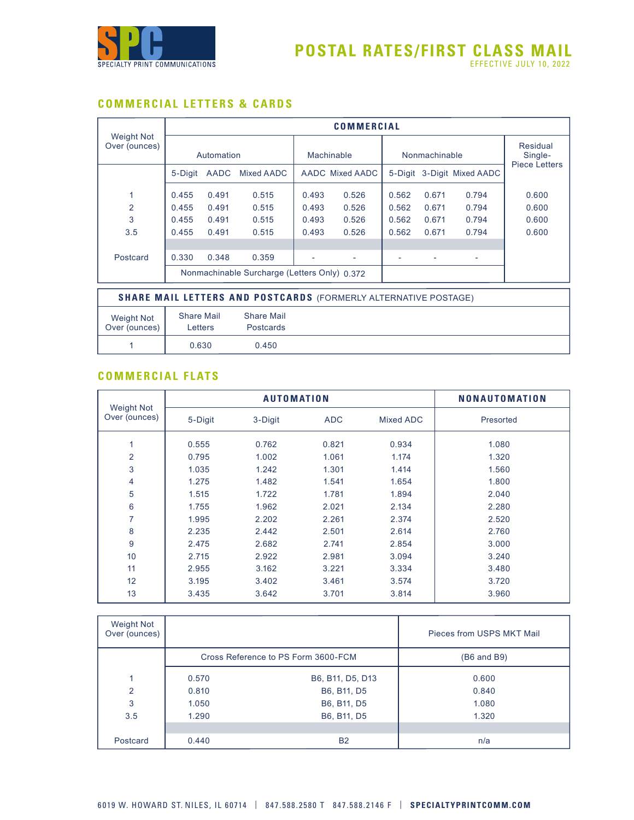

# **COMMERCIAL LETTERS & CARDS**

|                                    |                              |                                                                        |                                              |       | <b>COMMERCIAL</b> |                            |               |       |                                             |  |
|------------------------------------|------------------------------|------------------------------------------------------------------------|----------------------------------------------|-------|-------------------|----------------------------|---------------|-------|---------------------------------------------|--|
| <b>Weight Not</b><br>Over (ounces) |                              | Automation                                                             |                                              |       | Machinable        |                            | Nonmachinable |       | Residual<br>Single-<br><b>Piece Letters</b> |  |
|                                    | 5-Digit                      | AADC                                                                   | Mixed AADC                                   |       | AADC Mixed AADC   | 5-Digit 3-Digit Mixed AADC |               |       |                                             |  |
| 1                                  | 0.455                        | 0.491                                                                  | 0.515                                        | 0.493 | 0.526             | 0.562                      | 0.671         | 0.794 | 0.600                                       |  |
| $\overline{2}$                     | 0.455                        | 0.491                                                                  | 0.515                                        | 0.493 | 0.526             | 0.562                      | 0.671         | 0.794 | 0.600                                       |  |
| 3                                  | 0.455                        | 0.491                                                                  | 0.515                                        | 0.493 | 0.526             | 0.562                      | 0.671         | 0.794 | 0.600                                       |  |
| 3.5                                | 0.455                        | 0.491                                                                  | 0.515                                        | 0.493 | 0.526             | 0.562                      | 0.671         | 0.794 | 0.600                                       |  |
|                                    |                              |                                                                        |                                              |       |                   |                            |               |       |                                             |  |
| Postcard                           | 0.330                        | 0.348                                                                  | 0.359                                        |       |                   |                            |               |       |                                             |  |
|                                    |                              |                                                                        | Nonmachinable Surcharge (Letters Only) 0.372 |       |                   |                            |               |       |                                             |  |
|                                    |                              | <b>SHARE MAIL LETTERS AND POSTCARDS (FORMERLY ALTERNATIVE POSTAGE)</b> |                                              |       |                   |                            |               |       |                                             |  |
| <b>Weight Not</b><br>Over (ounces) | <b>Share Mail</b><br>Letters |                                                                        | <b>Share Mail</b><br><b>Postcards</b>        |       |                   |                            |               |       |                                             |  |
|                                    | 0.630                        |                                                                        | 0.450                                        |       |                   |                            |               |       |                                             |  |

### **COMMERCIAL FLATS**

|                                    |         | <b>AUTOMATION</b> |            |                  | <b>NONAUTOMATION</b> |
|------------------------------------|---------|-------------------|------------|------------------|----------------------|
| <b>Weight Not</b><br>Over (ounces) | 5-Digit | 3-Digit           | <b>ADC</b> | <b>Mixed ADC</b> | Presorted            |
| 1                                  | 0.555   | 0.762             | 0.821      | 0.934            | 1.080                |
| $\overline{2}$                     | 0.795   | 1.002             | 1.061      | 1.174            | 1.320                |
| 3                                  | 1.035   | 1.242             | 1.301      | 1.414            | 1.560                |
| 4                                  | 1.275   | 1.482             | 1.541      | 1.654            | 1.800                |
| 5                                  | 1.515   | 1.722             | 1.781      | 1.894            | 2.040                |
| 6                                  | 1.755   | 1.962             | 2.021      | 2.134            | 2.280                |
| $\overline{7}$                     | 1.995   | 2.202             | 2.261      | 2.374            | 2.520                |
| 8                                  | 2.235   | 2.442             | 2.501      | 2.614            | 2.760                |
| 9                                  | 2.475   | 2.682             | 2.741      | 2.854            | 3.000                |
| 10                                 | 2.715   | 2.922             | 2.981      | 3.094            | 3.240                |
| 11                                 | 2.955   | 3.162             | 3.221      | 3.334            | 3.480                |
| 12                                 | 3.195   | 3.402             | 3.461      | 3.574            | 3.720                |
| 13                                 | 3.435   | 3.642             | 3.701      | 3.814            | 3.960                |

| Weight Not<br>Over (ounces) |       |                                     | Pieces from USPS MKT Mail |
|-----------------------------|-------|-------------------------------------|---------------------------|
|                             |       | Cross Reference to PS Form 3600-FCM | (B6 and B9)               |
|                             | 0.570 | B6, B11, D5, D13                    | 0.600                     |
| 2                           | 0.810 | B6, B11, D5                         | 0.840                     |
| 3                           | 1.050 | B6, B11, D5                         | 1.080                     |
| 3.5                         | 1.290 | B6, B11, D5                         | 1.320                     |
|                             |       |                                     |                           |
| Postcard                    | 0.440 | <b>B2</b>                           | n/a                       |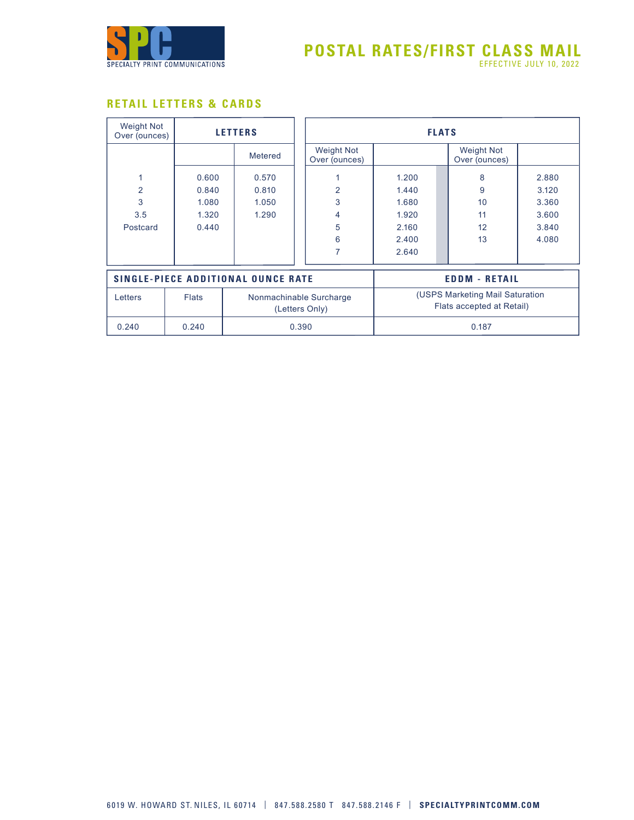

## **RETAIL LETTERS & CARDS**

| <b>Weight Not</b><br>Over (ounces) |              | <b>LETTERS</b>                            |                                           | <b>FLATS</b>                                                 |                                    |       |  |
|------------------------------------|--------------|-------------------------------------------|-------------------------------------------|--------------------------------------------------------------|------------------------------------|-------|--|
|                                    |              | Metered                                   | <b>Weight Not</b><br>Over (ounces)        |                                                              | <b>Weight Not</b><br>Over (ounces) |       |  |
| 1                                  | 0.600        | 0.570                                     |                                           | 1.200                                                        | 8                                  | 2.880 |  |
| $\overline{2}$                     | 0.840        | 0.810                                     | $\overline{2}$                            | 1.440                                                        | 9                                  | 3.120 |  |
| 3                                  | 1.080        | 1.050                                     | 3                                         | 1.680                                                        | 10                                 | 3.360 |  |
| 3.5                                | 1.320        | 1.290                                     | 4                                         | 1.920                                                        | 11                                 | 3.600 |  |
| Postcard                           | 0.440        |                                           | 5                                         | 2.160                                                        | 12                                 | 3.840 |  |
|                                    |              |                                           | 6                                         | 2.400                                                        | 13                                 | 4.080 |  |
|                                    |              |                                           | $\overline{7}$                            | 2.640                                                        |                                    |       |  |
|                                    |              | <b>SINGLE-PIECE ADDITIONAL OUNCE RATE</b> |                                           | <b>EDDM - RETAIL</b>                                         |                                    |       |  |
| Letters                            | <b>Flats</b> |                                           | Nonmachinable Surcharge<br>(Letters Only) | (USPS Marketing Mail Saturation<br>Flats accepted at Retail) |                                    |       |  |
| 0.240                              | 0.240        |                                           | 0.390                                     |                                                              | 0.187                              |       |  |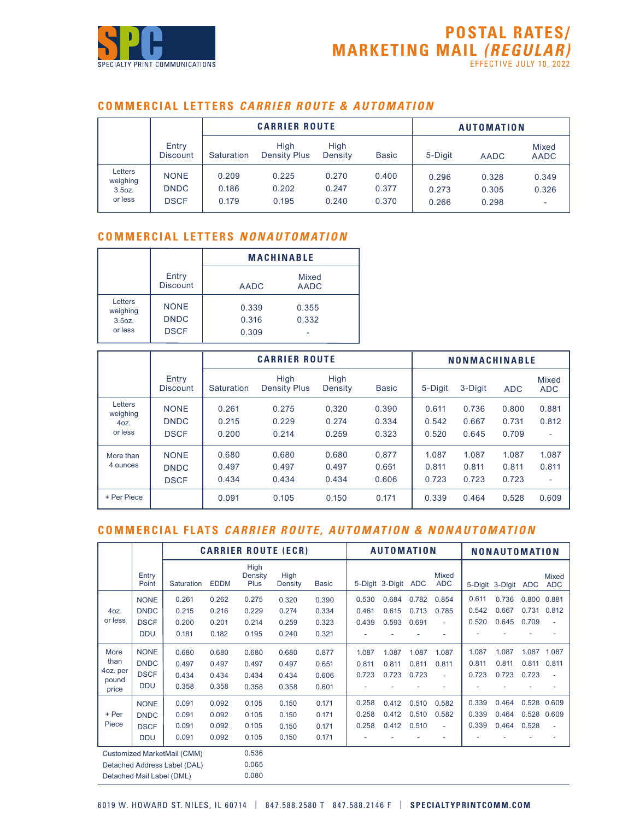

#### **COMMERCIAL LETTERS CARRIER ROUTE & AUTOMATION**

|                                                      |                                           |                         | <b>CARRIER ROUTE</b>        |                         |                         |                         | <b>AUTOMATION</b>       |                      |
|------------------------------------------------------|-------------------------------------------|-------------------------|-----------------------------|-------------------------|-------------------------|-------------------------|-------------------------|----------------------|
|                                                      | Entry<br><b>Discount</b>                  | Saturation              | High<br><b>Density Plus</b> | High<br>Density         | <b>Basic</b>            | 5-Digit                 | <b>AADC</b>             | Mixed<br><b>AADC</b> |
| Letters<br>weighing<br>3.5 <sub>oz.</sub><br>or less | <b>NONE</b><br><b>DNDC</b><br><b>DSCF</b> | 0.209<br>0.186<br>0.179 | 0.225<br>0.202<br>0.195     | 0.270<br>0.247<br>0.240 | 0.400<br>0.377<br>0.370 | 0.296<br>0.273<br>0.266 | 0.328<br>0.305<br>0.298 | 0.349<br>0.326<br>٠  |

#### **COMMERCIAL LETTERS NONAUTOMATION**

|                                                     |                                           |                         | <b>MACHINABLE</b>    |
|-----------------------------------------------------|-------------------------------------------|-------------------------|----------------------|
|                                                     | Entry<br><b>Discount</b>                  | <b>AADC</b>             | Mixed<br><b>AADC</b> |
| Letters<br>weighing<br>3.5 <sub>oz</sub><br>or less | <b>NONE</b><br><b>DNDC</b><br><b>DSCF</b> | 0.339<br>0.316<br>0.309 | 0.355<br>0.332       |

|                                        |                                           |                         | <b>CARRIER ROUTE</b>        |                         |                         |                         | <b>NONMACHINABLE</b>    |                         |                     |
|----------------------------------------|-------------------------------------------|-------------------------|-----------------------------|-------------------------|-------------------------|-------------------------|-------------------------|-------------------------|---------------------|
|                                        | Entry<br><b>Discount</b>                  | <b>Saturation</b>       | High<br><b>Density Plus</b> | High<br>Density         | <b>Basic</b>            | 5-Digit                 | 3-Digit                 | <b>ADC</b>              | Mixed<br><b>ADC</b> |
| Letters<br>weighing<br>40Z.<br>or less | <b>NONE</b><br><b>DNDC</b><br><b>DSCF</b> | 0.261<br>0.215<br>0.200 | 0.275<br>0.229<br>0.214     | 0.320<br>0.274<br>0.259 | 0.390<br>0.334<br>0.323 | 0.611<br>0.542<br>0.520 | 0.736<br>0.667<br>0.645 | 0.800<br>0.731<br>0.709 | 0.881<br>0.812<br>٠ |
| More than<br>4 ounces                  | <b>NONE</b><br><b>DNDC</b><br><b>DSCF</b> | 0.680<br>0.497<br>0.434 | 0.680<br>0.497<br>0.434     | 0.680<br>0.497<br>0.434 | 0.877<br>0.651<br>0.606 | 1.087<br>0.811<br>0.723 | 1.087<br>0.811<br>0.723 | 1.087<br>0.811<br>0.723 | 1.087<br>0.811<br>۰ |
| + Per Piece                            |                                           | 0.091                   | 0.105                       | 0.150                   | 0.171                   | 0.339                   | 0.464                   | 0.528                   | 0.609               |

## **COMMERCIAL FLATS CARRIER ROUTE, AUTOMATION & NONAUTOMATION**

|                                            |                                                         |                                                             |                                  |                                  | <b>CARRIER ROUTE (ECR)</b>       |                                  |                         | <b>AUTOMATION</b>       |                         |                      | <b>NONAUTOMATION</b>    |                         |                         |                            |
|--------------------------------------------|---------------------------------------------------------|-------------------------------------------------------------|----------------------------------|----------------------------------|----------------------------------|----------------------------------|-------------------------|-------------------------|-------------------------|----------------------|-------------------------|-------------------------|-------------------------|----------------------------|
|                                            | Entry<br>Point                                          | Saturation                                                  | <b>EDDM</b>                      | High<br>Density<br>Plus          | <b>High</b><br><b>Density</b>    | <b>Basic</b>                     |                         | 5-Digit 3-Digit         | ADC                     | Mixed<br><b>ADC</b>  |                         | 5-Digit 3-Digit ADC     |                         | <b>Mixed</b><br><b>ADC</b> |
| 40Z.<br>or less                            | <b>NONE</b><br><b>DNDC</b><br><b>DSCF</b><br><b>DDU</b> | 0.261<br>0.215<br>0.200<br>0.181                            | 0.262<br>0.216<br>0.201<br>0.182 | 0.275<br>0.229<br>0.214<br>0.195 | 0.320<br>0.274<br>0.259<br>0.240 | 0.390<br>0.334<br>0.323<br>0.321 | 0.530<br>0.461<br>0.439 | 0.684<br>0.615<br>0.593 | 0.782<br>0.713<br>0.691 | 0.854<br>0.785<br>٠  | 0.611<br>0.542<br>0.520 | 0.736<br>0.667<br>0.645 | 0.800<br>0.731<br>0.709 | 0.881<br>0.812<br>٠        |
| More<br>than<br>4oz. per<br>pound<br>price | <b>NONE</b><br><b>DNDC</b><br><b>DSCF</b><br><b>DDU</b> | 0.680<br>0.497<br>0.434<br>0.358                            | 0.680<br>0.497<br>0.434<br>0.358 | 0.680<br>0.497<br>0.434<br>0.358 | 0.680<br>0.497<br>0.434<br>0.358 | 0.877<br>0.651<br>0.606<br>0.601 | 1.087<br>0.811<br>0.723 | 1.087<br>0.811<br>0.723 | 1.087<br>0.811<br>0.723 | 1.087<br>0.811<br>÷, | 1.087<br>0.811<br>0.723 | 1.087<br>0.811<br>0.723 | 1.087<br>0.811<br>0.723 | 1.087<br>0.811<br>٠        |
| + Per<br>Piece                             | <b>NONE</b><br><b>DNDC</b><br><b>DSCF</b><br><b>DDU</b> | 0.091<br>0.091<br>0.091<br>0.091                            | 0.092<br>0.092<br>0.092<br>0.092 | 0.105<br>0.105<br>0.105<br>0.105 | 0.150<br>0.150<br>0.150<br>0.150 | 0.171<br>0.171<br>0.171<br>0.171 | 0.258<br>0.258<br>0.258 | 0.412<br>0.412<br>0.412 | 0.510<br>0.510<br>0.510 | 0.582<br>0.582<br>٠  | 0.339<br>0.339<br>0.339 | 0.464<br>0.464<br>0.464 | 0.528<br>0.528<br>0.528 | 0.609<br>0.609<br>٠        |
|                                            | Detached Mail Label (DML)                               | Customized MarketMail (CMM)<br>Detached Address Label (DAL) |                                  | 0.536<br>0.065<br>0.080          |                                  |                                  |                         |                         |                         |                      |                         |                         |                         |                            |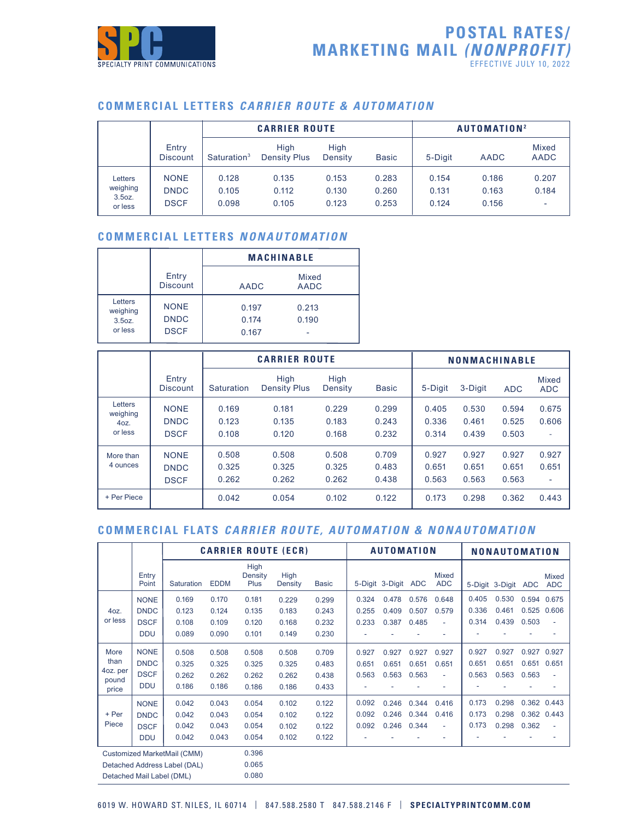

### **COMMERCIAL LETTERS CARRIER ROUTE & AUTOMATION**

|                                                     |                                           |                         |                             | AUTOMATION <sup>2</sup> |                         |                         |                         |                                            |
|-----------------------------------------------------|-------------------------------------------|-------------------------|-----------------------------|-------------------------|-------------------------|-------------------------|-------------------------|--------------------------------------------|
|                                                     | Entry<br><b>Discount</b>                  | Saturation <sup>3</sup> | High<br><b>Density Plus</b> | High<br>Density         | <b>Basic</b>            | 5-Digit                 | <b>AADC</b>             | Mixed<br><b>AADC</b>                       |
| Letters<br>weighing<br>3.5 <sub>oz</sub><br>or less | <b>NONE</b><br><b>DNDC</b><br><b>DSCF</b> | 0.128<br>0.105<br>0.098 | 0.135<br>0.112<br>0.105     | 0.153<br>0.130<br>0.123 | 0.283<br>0.260<br>0.253 | 0.154<br>0.131<br>0.124 | 0.186<br>0.163<br>0.156 | 0.207<br>0.184<br>$\overline{\phantom{a}}$ |

### **COMMERCIAL LETTERS NONAUTOMATION**

|                                                     |                                           |                         | <b>MACHINABLE</b>    |
|-----------------------------------------------------|-------------------------------------------|-------------------------|----------------------|
|                                                     | Entry<br><b>Discount</b>                  | <b>AADC</b>             | Mixed<br><b>AADC</b> |
| Letters<br>weighing<br>3.5 <sub>oz</sub><br>or less | <b>NONE</b><br><b>DNDC</b><br><b>DSCF</b> | 0.197<br>0.174<br>0.167 | 0.213<br>0.190       |

|                                        |                                           |                         | <b>CARRIER ROUTE</b>        |                         |                         | <b>NONMACHINABLE</b>    |                         |                         |                                            |  |  |
|----------------------------------------|-------------------------------------------|-------------------------|-----------------------------|-------------------------|-------------------------|-------------------------|-------------------------|-------------------------|--------------------------------------------|--|--|
|                                        | Entry<br><b>Discount</b>                  | Saturation              | High<br><b>Density Plus</b> | High<br>Density         | <b>Basic</b>            | 5-Digit                 | 3-Digit                 | <b>ADC</b>              | Mixed<br><b>ADC</b>                        |  |  |
| Letters<br>weighing<br>40Z.<br>or less | <b>NONE</b><br><b>DNDC</b><br><b>DSCF</b> | 0.169<br>0.123<br>0.108 | 0.181<br>0.135<br>0.120     | 0.229<br>0.183<br>0.168 | 0.299<br>0.243<br>0.232 | 0.405<br>0.336<br>0.314 | 0.530<br>0.461<br>0.439 | 0.594<br>0.525<br>0.503 | 0.675<br>0.606<br>٠                        |  |  |
| More than<br>4 ounces                  | <b>NONE</b><br><b>DNDC</b><br><b>DSCF</b> | 0.508<br>0.325<br>0.262 | 0.508<br>0.325<br>0.262     | 0.508<br>0.325<br>0.262 | 0.709<br>0.483<br>0.438 | 0.927<br>0.651<br>0.563 | 0.927<br>0.651<br>0.563 | 0.927<br>0.651<br>0.563 | 0.927<br>0.651<br>$\overline{\phantom{0}}$ |  |  |
| + Per Piece                            |                                           | 0.042                   | 0.054                       | 0.102                   | 0.122                   | 0.173                   | 0.298                   | 0.362                   | 0.443                                      |  |  |

## **COMMERCIAL FLATS CARRIER ROUTE, AUTOMATION & NONAUTOMATION**

|                   |                              |                             |             |                         | <b>CARRIER ROUTE (ECR)</b> |              |       | <b>AUTOMATION</b> |       |                            | <b>NONAUTOMATION</b> |                     |       |                            |
|-------------------|------------------------------|-----------------------------|-------------|-------------------------|----------------------------|--------------|-------|-------------------|-------|----------------------------|----------------------|---------------------|-------|----------------------------|
|                   | Entry<br>Point               | Saturation                  | <b>EDDM</b> | High<br>Density<br>Plus | High<br>Density            | <b>Basic</b> |       | 5-Digit 3-Digit   | ADC   | <b>Mixed</b><br><b>ADC</b> |                      | 5-Digit 3-Digit ADC |       | <b>Mixed</b><br><b>ADC</b> |
|                   | <b>NONE</b>                  | 0.169                       | 0.170       | 0.181                   | 0.229                      | 0.299        | 0.324 | 0.478             | 0.576 | 0.648                      | 0.405                | 0.530               | 0.594 | 0.675                      |
| 40Z.              | <b>DNDC</b>                  | 0.123                       | 0.124       | 0.135                   | 0.183                      | 0.243        | 0.255 | 0.409             | 0.507 | 0.579                      | 0.336                | 0.461               | 0.525 | 0.606                      |
| or less           | <b>DSCF</b>                  | 0.108                       | 0.109       | 0.120                   | 0.168                      | 0.232        | 0.233 | 0.387             | 0.485 | ٠                          | 0.314                | 0.439               | 0.503 | ÷                          |
|                   | <b>DDU</b>                   | 0.089                       | 0.090       | 0.101                   | 0.149                      | 0.230        |       |                   |       |                            |                      |                     |       |                            |
| More              | <b>NONE</b>                  | 0.508                       | 0.508       | 0.508                   | 0.508                      | 0.709        | 0.927 | 0.927             | 0.927 | 0.927                      | 0.927                | 0.927               | 0.927 | 0.927                      |
| than              | <b>DNDC</b>                  | 0.325                       | 0.325       | 0.325                   | 0.325                      | 0.483        | 0.651 | 0.651             | 0.651 | 0.651                      | 0.651                | 0.651               | 0.651 | 0.651                      |
| 4oz. per<br>pound | <b>DSCF</b>                  | 0.262                       | 0.262       | 0.262                   | 0.262                      | 0.438        | 0.563 | 0.563             | 0.563 |                            | 0.563                | 0.563               | 0.563 | ٠                          |
| price             | <b>DDU</b>                   | 0.186                       | 0.186       | 0.186                   | 0.186                      | 0.433        |       |                   |       |                            |                      |                     |       |                            |
|                   | <b>NONE</b>                  | 0.042                       | 0.043       | 0.054                   | 0.102                      | 0.122        | 0.092 | 0.246             | 0.344 | 0.416                      | 0.173                | 0.298               | 0.362 | 0.443                      |
| + Per             | <b>DNDC</b>                  | 0.042                       | 0.043       | 0.054                   | 0.102                      | 0.122        | 0.092 | 0.246             | 0.344 | 0.416                      | 0.173                | 0.298               | 0.362 | 0.443                      |
| Piece             | <b>DSCF</b>                  | 0.042                       | 0.043       | 0.054                   | 0.102                      | 0.122        | 0.092 | 0.246             | 0.344 |                            | 0.173                | 0.298               | 0.362 | ÷                          |
|                   | <b>DDU</b>                   | 0.042                       | 0.043       | 0.054                   | 0.102                      | 0.122        | ٠     |                   |       |                            |                      |                     |       |                            |
|                   |                              | Customized MarketMail (CMM) |             | 0.396                   |                            |              |       |                   |       |                            |                      |                     |       |                            |
|                   | Detached Address Label (DAL) |                             | 0.065       |                         |                            |              |       |                   |       |                            |                      |                     |       |                            |
|                   | Detached Mail Label (DML)    |                             |             | 0.080                   |                            |              |       |                   |       |                            |                      |                     |       |                            |